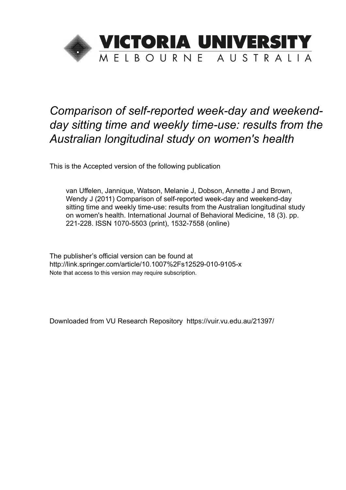

# *Comparison of self-reported week-day and weekendday sitting time and weekly time-use: results from the Australian longitudinal study on women's health*

This is the Accepted version of the following publication

van Uffelen, Jannique, Watson, Melanie J, Dobson, Annette J and Brown, Wendy J (2011) Comparison of self-reported week-day and weekend-day sitting time and weekly time-use: results from the Australian longitudinal study on women's health. International Journal of Behavioral Medicine, 18 (3). pp. 221-228. ISSN 1070-5503 (print), 1532-7558 (online)

The publisher's official version can be found at http://link.springer.com/article/10.1007%2Fs12529-010-9105-x Note that access to this version may require subscription.

Downloaded from VU Research Repository https://vuir.vu.edu.au/21397/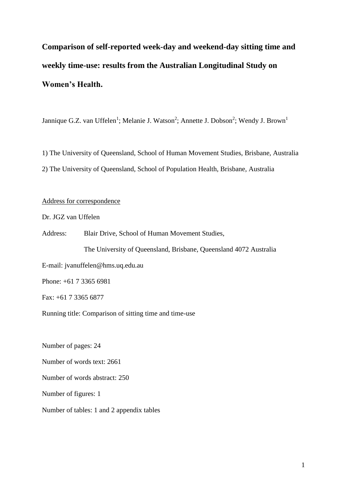**Comparison of self-reported week-day and weekend-day sitting time and weekly time-use: results from the Australian Longitudinal Study on Women's Health.**

Jannique G.Z. van Uffelen<sup>1</sup>; Melanie J. Watson<sup>2</sup>; Annette J. Dobson<sup>2</sup>; Wendy J. Brown<sup>1</sup>

1) The University of Queensland, School of Human Movement Studies, Brisbane, Australia 2) The University of Queensland, School of Population Health, Brisbane, Australia

# Address for correspondence

Dr. JGZ van Uffelen

Address: Blair Drive, School of Human Movement Studies,

The University of Queensland, Brisbane, Queensland 4072 Australia

E-mail: jvanuffelen@hms.uq.edu.au

Phone: +61 7 3365 6981

Fax: +61 7 3365 6877

Running title: Comparison of sitting time and time-use

Number of pages: 24

Number of words text: 2661

Number of words abstract: 250

Number of figures: 1

Number of tables: 1 and 2 appendix tables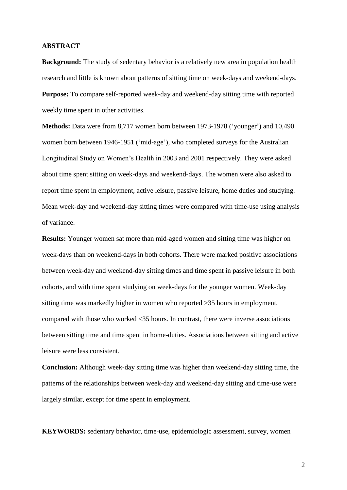#### **ABSTRACT**

**Background:** The study of sedentary behavior is a relatively new area in population health research and little is known about patterns of sitting time on week-days and weekend-days. **Purpose:** To compare self-reported week-day and weekend-day sitting time with reported weekly time spent in other activities.

**Methods:** Data were from 8,717 women born between 1973-1978 ('younger') and 10,490 women born between 1946-1951 ('mid-age'), who completed surveys for the Australian Longitudinal Study on Women's Health in 2003 and 2001 respectively. They were asked about time spent sitting on week-days and weekend-days. The women were also asked to report time spent in employment, active leisure, passive leisure, home duties and studying. Mean week-day and weekend-day sitting times were compared with time-use using analysis of variance.

**Results:** Younger women sat more than mid-aged women and sitting time was higher on week-days than on weekend-days in both cohorts. There were marked positive associations between week-day and weekend-day sitting times and time spent in passive leisure in both cohorts, and with time spent studying on week-days for the younger women. Week-day sitting time was markedly higher in women who reported >35 hours in employment, compared with those who worked <35 hours. In contrast, there were inverse associations between sitting time and time spent in home-duties. Associations between sitting and active leisure were less consistent.

**Conclusion:** Although week-day sitting time was higher than weekend-day sitting time, the patterns of the relationships between week-day and weekend-day sitting and time-use were largely similar, except for time spent in employment.

**KEYWORDS:** sedentary behavior, time-use, epidemiologic assessment, survey, women

2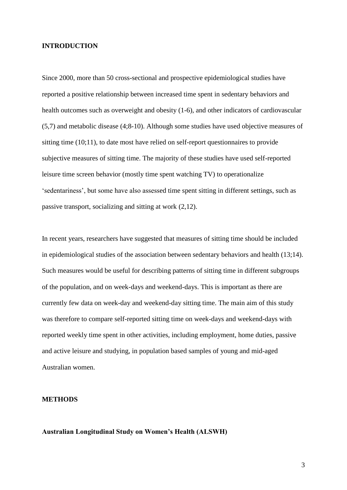#### **INTRODUCTION**

Since 2000, more than 50 cross-sectional and prospective epidemiological studies have reported a positive relationship between increased time spent in sedentary behaviors and health outcomes such as overweight and obesity (1-6), and other indicators of cardiovascular (5,7) and metabolic disease (4;8-10). Although some studies have used objective measures of sitting time (10;11), to date most have relied on self-report questionnaires to provide subjective measures of sitting time. The majority of these studies have used self-reported leisure time screen behavior (mostly time spent watching TV) to operationalize 'sedentariness', but some have also assessed time spent sitting in different settings, such as passive transport, socializing and sitting at work (2,12).

In recent years, researchers have suggested that measures of sitting time should be included in epidemiological studies of the association between sedentary behaviors and health (13;14). Such measures would be useful for describing patterns of sitting time in different subgroups of the population, and on week-days and weekend-days. This is important as there are currently few data on week-day and weekend-day sitting time. The main aim of this study was therefore to compare self-reported sitting time on week-days and weekend-days with reported weekly time spent in other activities, including employment, home duties, passive and active leisure and studying, in population based samples of young and mid-aged Australian women.

### **METHODS**

#### **Australian Longitudinal Study on Women's Health (ALSWH)**

3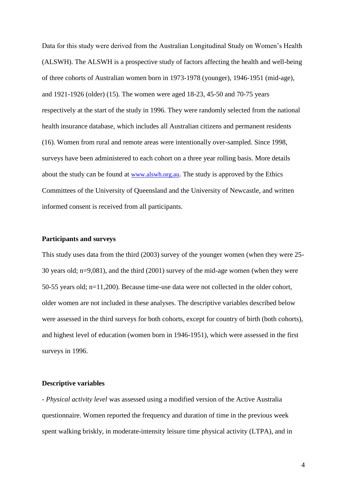Data for this study were derived from the Australian Longitudinal Study on Women's Health (ALSWH). The ALSWH is a prospective study of factors affecting the health and well-being of three cohorts of Australian women born in 1973-1978 (younger), 1946-1951 (mid-age), and 1921-1926 (older) (15). The women were aged 18-23, 45-50 and 70-75 years respectively at the start of the study in 1996. They were randomly selected from the national health insurance database, which includes all Australian citizens and permanent residents (16). Women from rural and remote areas were intentionally over-sampled. Since 1998, surveys have been administered to each cohort on a three year rolling basis. More details about the study can be found at [www.alswh.org.au](http://www.alswh.org.au/). The study is approved by the Ethics Committees of the University of Queensland and the University of Newcastle, and written informed consent is received from all participants.

# **Participants and surveys**

This study uses data from the third (2003) survey of the younger women (when they were 25- 30 years old; n=9,081), and the third (2001) survey of the mid-age women (when they were 50-55 years old; n=11,200). Because time-use data were not collected in the older cohort, older women are not included in these analyses. The descriptive variables described below were assessed in the third surveys for both cohorts, except for country of birth (both cohorts), and highest level of education (women born in 1946-1951), which were assessed in the first surveys in 1996.

#### **Descriptive variables**

- *Physical activity level* was assessed using a modified version of the Active Australia questionnaire. Women reported the frequency and duration of time in the previous week spent walking briskly, in moderate-intensity leisure time physical activity (LTPA), and in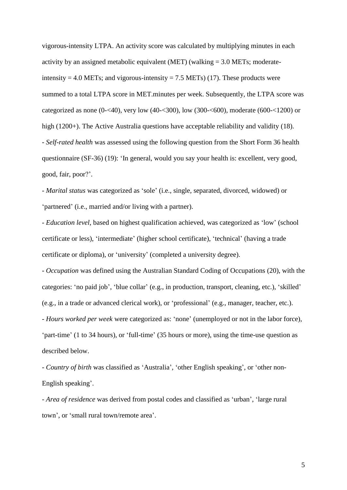vigorous-intensity LTPA. An activity score was calculated by multiplying minutes in each activity by an assigned metabolic equivalent (MET) (walking  $= 3.0$  METs; moderateintensity  $= 4.0$  METs; and vigorous-intensity  $= 7.5$  METs) (17). These products were summed to a total LTPA score in MET.minutes per week. Subsequently, the LTPA score was categorized as none (0-<40), very low (40-<300), low (300-<600), moderate (600-<1200) or high (1200+). The Active Australia questions have acceptable reliability and validity (18). - *Self-rated health* was assessed using the following question from the Short Form 36 health questionnaire (SF-36) (19): 'In general, would you say your health is: excellent, very good, good, fair, poor?'.

- *Marital status* was categorized as 'sole' (i.e., single, separated, divorced, widowed) or 'partnered' (i.e., married and/or living with a partner).

- *Education level*, based on highest qualification achieved, was categorized as 'low' (school certificate or less), 'intermediate' (higher school certificate), 'technical' (having a trade certificate or diploma), or 'university' (completed a university degree).

- *Occupation* was defined using the Australian Standard Coding of Occupations (20), with the categories: 'no paid job', 'blue collar' (e.g., in production, transport, cleaning, etc.), 'skilled' (e.g., in a trade or advanced clerical work), or 'professional' (e.g., manager, teacher, etc.). - *Hours worked per week* were categorized as: 'none' (unemployed or not in the labor force), 'part-time' (1 to 34 hours), or 'full-time' (35 hours or more), using the time-use question as described below.

- *Country of birth* was classified as 'Australia', 'other English speaking', or 'other non-English speaking'.

- *Area of residence* was derived from postal codes and classified as 'urban', 'large rural town', or 'small rural town/remote area'.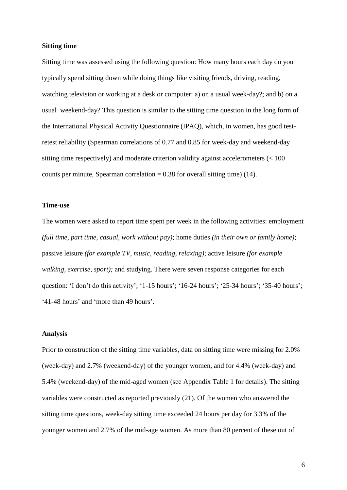#### **Sitting time**

Sitting time was assessed using the following question: How many hours each day do you typically spend sitting down while doing things like visiting friends, driving, reading, watching television or working at a desk or computer: a) on a usual week-day?; and b) on a usual weekend-day? This question is similar to the sitting time question in the long form of the International Physical Activity Questionnaire (IPAQ), which, in women, has good testretest reliability (Spearman correlations of 0.77 and 0.85 for week-day and weekend-day sitting time respectively) and moderate criterion validity against accelerometers (< 100 counts per minute, Spearman correlation  $= 0.38$  for overall sitting time) (14).

#### **Time-use**

The women were asked to report time spent per week in the following activities: employment *(full time, part time, casual, work without pay)*; home duties *(in their own or family home)*; passive leisure *(for example TV, music, reading, relaxing)*; active leisure *(for example walking, exercise, sport);* and studying. There were seven response categories for each question: 'I don't do this activity'; '1-15 hours'; '16-24 hours'; '25-34 hours'; '35-40 hours'; '41-48 hours' and 'more than 49 hours'.

#### **Analysis**

Prior to construction of the sitting time variables, data on sitting time were missing for 2.0% (week-day) and 2.7% (weekend-day) of the younger women, and for 4.4% (week-day) and 5.4% (weekend-day) of the mid-aged women (see Appendix Table 1 for details). The sitting variables were constructed as reported previously (21). Of the women who answered the sitting time questions, week-day sitting time exceeded 24 hours per day for 3.3% of the younger women and 2.7% of the mid-age women. As more than 80 percent of these out of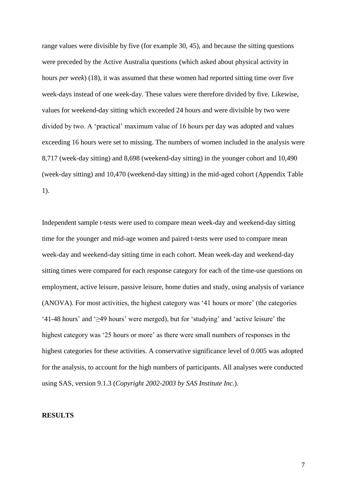range values were divisible by five (for example 30, 45), and because the sitting questions were preceded by the Active Australia questions (which asked about physical activity in hours *per week*) (18), it was assumed that these women had reported sitting time over five week-days instead of one week-day. These values were therefore divided by five. Likewise, values for weekend-day sitting which exceeded 24 hours and were divisible by two were divided by two. A 'practical' maximum value of 16 hours per day was adopted and values exceeding 16 hours were set to missing. The numbers of women included in the analysis were 8,717 (week-day sitting) and 8,698 (weekend-day sitting) in the younger cohort and 10,490 (week-day sitting) and 10,470 (weekend-day sitting) in the mid-aged cohort (Appendix Table 1).

Independent sample t-tests were used to compare mean week-day and weekend-day sitting time for the younger and mid-age women and paired t-tests were used to compare mean week-day and weekend-day sitting time in each cohort. Mean week-day and weekend-day sitting times were compared for each response category for each of the time-use questions on employment, active leisure, passive leisure, home duties and study, using analysis of variance (ANOVA). For most activities, the highest category was '41 hours or more' (the categories '41-48 hours' and '≥49 hours' were merged), but for 'studying' and 'active leisure' the highest category was '25 hours or more' as there were small numbers of responses in the highest categories for these activities. A conservative significance level of 0.005 was adopted for the analysis, to account for the high numbers of participants. All analyses were conducted using SAS, version 9.1.3 (*Copyright 2002-2003 by SAS Institute Inc.*).

#### **RESULTS**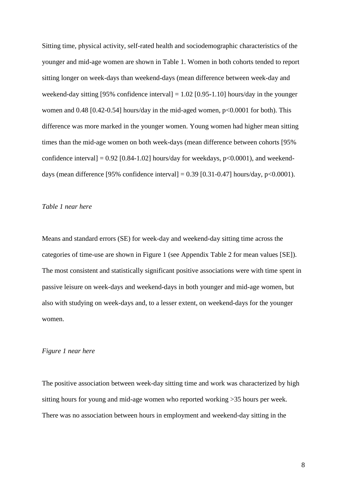Sitting time, physical activity, self-rated health and sociodemographic characteristics of the younger and mid-age women are shown in Table 1. Women in both cohorts tended to report sitting longer on week-days than weekend-days (mean difference between week-day and weekend-day sitting [95% confidence interval]  $= 1.02$  [0.95-1.10] hours/day in the younger women and 0.48 [0.42-0.54] hours/day in the mid-aged women, p<0.0001 for both). This difference was more marked in the younger women. Young women had higher mean sitting times than the mid-age women on both week-days (mean difference between cohorts [95% confidence interval] =  $0.92$  [0.84-1.02] hours/day for weekdays,  $p<0.0001$ ), and weekenddays (mean difference [95% confidence interval] =  $0.39$  [0.31-0.47] hours/day, p<0.0001).

# *Table 1 near here*

Means and standard errors (SE) for week-day and weekend-day sitting time across the categories of time-use are shown in Figure 1 (see Appendix Table 2 for mean values [SE]). The most consistent and statistically significant positive associations were with time spent in passive leisure on week-days and weekend-days in both younger and mid-age women, but also with studying on week-days and, to a lesser extent, on weekend-days for the younger women.

#### *Figure 1 near here*

The positive association between week-day sitting time and work was characterized by high sitting hours for young and mid-age women who reported working >35 hours per week. There was no association between hours in employment and weekend-day sitting in the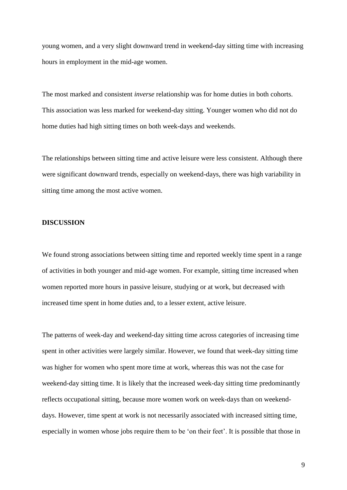young women, and a very slight downward trend in weekend-day sitting time with increasing hours in employment in the mid-age women.

The most marked and consistent *inverse* relationship was for home duties in both cohorts. This association was less marked for weekend-day sitting. Younger women who did not do home duties had high sitting times on both week-days and weekends.

The relationships between sitting time and active leisure were less consistent. Although there were significant downward trends, especially on weekend-days, there was high variability in sitting time among the most active women.

# **DISCUSSION**

We found strong associations between sitting time and reported weekly time spent in a range of activities in both younger and mid-age women. For example, sitting time increased when women reported more hours in passive leisure, studying or at work, but decreased with increased time spent in home duties and, to a lesser extent, active leisure.

The patterns of week-day and weekend-day sitting time across categories of increasing time spent in other activities were largely similar. However, we found that week-day sitting time was higher for women who spent more time at work, whereas this was not the case for weekend-day sitting time. It is likely that the increased week-day sitting time predominantly reflects occupational sitting, because more women work on week-days than on weekenddays. However, time spent at work is not necessarily associated with increased sitting time, especially in women whose jobs require them to be 'on their feet'. It is possible that those in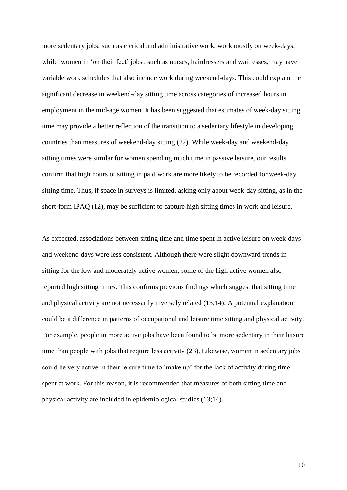more sedentary jobs, such as clerical and administrative work, work mostly on week-days, while women in 'on their feet' jobs, such as nurses, hairdressers and waitresses, may have variable work schedules that also include work during weekend-days. This could explain the significant decrease in weekend-day sitting time across categories of increased hours in employment in the mid-age women. It has been suggested that estimates of week-day sitting time may provide a better reflection of the transition to a sedentary lifestyle in developing countries than measures of weekend-day sitting (22). While week-day and weekend-day sitting times were similar for women spending much time in passive leisure, our results confirm that high hours of sitting in paid work are more likely to be recorded for week-day sitting time. Thus, if space in surveys is limited, asking only about week-day sitting, as in the short-form IPAQ (12), may be sufficient to capture high sitting times in work and leisure.

As expected, associations between sitting time and time spent in active leisure on week-days and weekend-days were less consistent. Although there were slight downward trends in sitting for the low and moderately active women, some of the high active women also reported high sitting times. This confirms previous findings which suggest that sitting time and physical activity are not necessarily inversely related (13;14). A potential explanation could be a difference in patterns of occupational and leisure time sitting and physical activity. For example, people in more active jobs have been found to be more sedentary in their leisure time than people with jobs that require less activity (23). Likewise, women in sedentary jobs could be very active in their leisure time to 'make up' for the lack of activity during time spent at work. For this reason, it is recommended that measures of both sitting time and physical activity are included in epidemiological studies (13;14).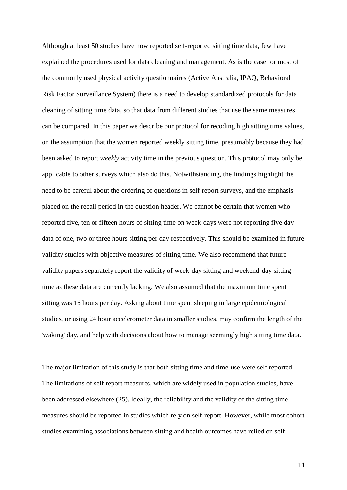Although at least 50 studies have now reported self-reported sitting time data, few have explained the procedures used for data cleaning and management. As is the case for most of the commonly used physical activity questionnaires (Active Australia, IPAQ, Behavioral Risk Factor Surveillance System) there is a need to develop standardized protocols for data cleaning of sitting time data, so that data from different studies that use the same measures can be compared. In this paper we describe our protocol for recoding high sitting time values, on the assumption that the women reported weekly sitting time, presumably because they had been asked to report *weekly* activity time in the previous question. This protocol may only be applicable to other surveys which also do this. Notwithstanding, the findings highlight the need to be careful about the ordering of questions in self-report surveys, and the emphasis placed on the recall period in the question header. We cannot be certain that women who reported five, ten or fifteen hours of sitting time on week-days were not reporting five day data of one, two or three hours sitting per day respectively. This should be examined in future validity studies with objective measures of sitting time. We also recommend that future validity papers separately report the validity of week-day sitting and weekend-day sitting time as these data are currently lacking. We also assumed that the maximum time spent sitting was 16 hours per day. Asking about time spent sleeping in large epidemiological studies, or using 24 hour accelerometer data in smaller studies, may confirm the length of the 'waking' day, and help with decisions about how to manage seemingly high sitting time data.

The major limitation of this study is that both sitting time and time-use were self reported. The limitations of self report measures, which are widely used in population studies, have been addressed elsewhere (25). Ideally, the reliability and the validity of the sitting time measures should be reported in studies which rely on self-report. However, while most cohort studies examining associations between sitting and health outcomes have relied on self-

11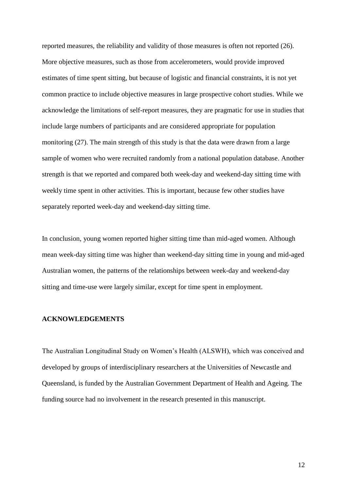reported measures, the reliability and validity of those measures is often not reported (26). More objective measures, such as those from accelerometers, would provide improved estimates of time spent sitting, but because of logistic and financial constraints, it is not yet common practice to include objective measures in large prospective cohort studies. While we acknowledge the limitations of self-report measures, they are pragmatic for use in studies that include large numbers of participants and are considered appropriate for population monitoring (27). The main strength of this study is that the data were drawn from a large sample of women who were recruited randomly from a national population database. Another strength is that we reported and compared both week-day and weekend-day sitting time with weekly time spent in other activities. This is important, because few other studies have separately reported week-day and weekend-day sitting time.

In conclusion, young women reported higher sitting time than mid-aged women. Although mean week-day sitting time was higher than weekend-day sitting time in young and mid-aged Australian women, the patterns of the relationships between week-day and weekend-day sitting and time-use were largely similar, except for time spent in employment.

### **ACKNOWLEDGEMENTS**

The Australian Longitudinal Study on Women's Health (ALSWH), which was conceived and developed by groups of interdisciplinary researchers at the Universities of Newcastle and Queensland, is funded by the Australian Government Department of Health and Ageing. The funding source had no involvement in the research presented in this manuscript.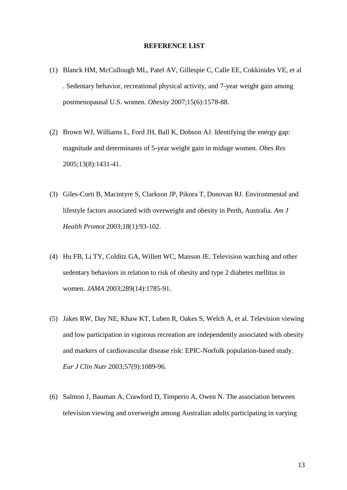#### **REFERENCE LIST**

- (1) Blanck HM, McCullough ML, Patel AV, Gillespie C, Calle EE, Cokkinides VE, et al . Sedentary behavior, recreational physical activity, and 7-year weight gain among postmenopausal U.S. women. *Obesity* 2007;15(6):1578-88.
- (2) Brown WJ, Williams L, Ford JH, Ball K, Dobson AJ. Identifying the energy gap: magnitude and determinants of 5-year weight gain in midage women. *Obes Res* 2005;13(8):1431-41.
- (3) Giles-Corti B, Macintyre S, Clarkson JP, Pikora T, Donovan RJ. Environmental and lifestyle factors associated with overweight and obesity in Perth, Australia. *Am J Health Promot* 2003;18(1):93-102.
- (4) Hu FB, Li TY, Colditz GA, Willett WC, Manson JE. Television watching and other sedentary behaviors in relation to risk of obesity and type 2 diabetes mellitus in women. *JAMA* 2003;289(14):1785-91.
- (5) Jakes RW, Day NE, Khaw KT, Luben R, Oakes S, Welch A, et al. Television viewing and low participation in vigorous recreation are independently associated with obesity and markers of cardiovascular disease risk: EPIC-Norfolk population-based study. *Eur J Clin Nutr* 2003;57(9):1089-96.
- (6) Salmon J, Bauman A, Crawford D, Timperio A, Owen N. The association between television viewing and overweight among Australian adults participating in varying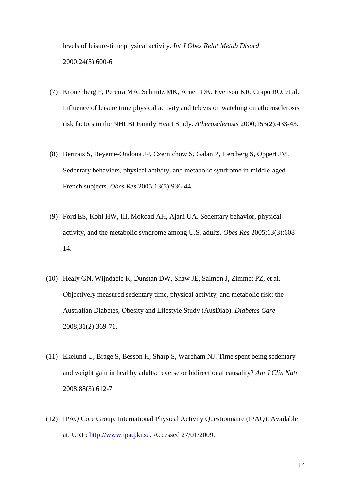levels of leisure-time physical activity. *Int J Obes Relat Metab Disord* 2000;24(5):600-6.

- (7) Kronenberg F, Pereira MA, Schmitz MK, Arnett DK, Evenson KR, Crapo RO, et al. Influence of leisure time physical activity and television watching on atherosclerosis risk factors in the NHLBI Family Heart Study. *Atherosclerosis* 2000;153(2):433-43.
- (8) Bertrais S, Beyeme-Ondoua JP, Czernichow S, Galan P, Hercberg S, Oppert JM. Sedentary behaviors, physical activity, and metabolic syndrome in middle-aged French subjects. *Obes Res* 2005;13(5):936-44.
- (9) Ford ES, Kohl HW, III, Mokdad AH, Ajani UA. Sedentary behavior, physical activity, and the metabolic syndrome among U.S. adults. *Obes Res* 2005;13(3):608- 14.
- (10) Healy GN, Wijndaele K, Dunstan DW, Shaw JE, Salmon J, Zimmet PZ, et al. Objectively measured sedentary time, physical activity, and metabolic risk: the Australian Diabetes, Obesity and Lifestyle Study (AusDiab). *Diabetes Care* 2008;31(2):369-71.
- (11) Ekelund U, Brage S, Besson H, Sharp S, Wareham NJ. Time spent being sedentary and weight gain in healthy adults: reverse or bidirectional causality? *Am J Clin Nutr* 2008;88(3):612-7.
- (12) IPAQ Core Group. International Physical Activity Questionnaire (IPAQ). Available at: URL: [http://www.ipaq.ki.se.](http://www.ipaq.ki.se/) Accessed 27/01/2009.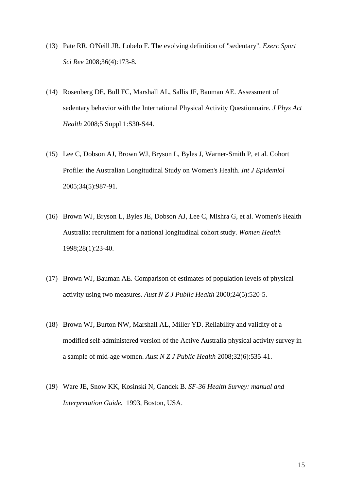- (13) Pate RR, O'Neill JR, Lobelo F. The evolving definition of "sedentary". *Exerc Sport Sci Rev* 2008;36(4):173-8.
- (14) Rosenberg DE, Bull FC, Marshall AL, Sallis JF, Bauman AE. Assessment of sedentary behavior with the International Physical Activity Questionnaire. *J Phys Act Health* 2008;5 Suppl 1:S30-S44.
- (15) Lee C, Dobson AJ, Brown WJ, Bryson L, Byles J, Warner-Smith P, et al. Cohort Profile: the Australian Longitudinal Study on Women's Health. *Int J Epidemiol* 2005;34(5):987-91.
- (16) Brown WJ, Bryson L, Byles JE, Dobson AJ, Lee C, Mishra G, et al. Women's Health Australia: recruitment for a national longitudinal cohort study. *Women Health* 1998;28(1):23-40.
- (17) Brown WJ, Bauman AE. Comparison of estimates of population levels of physical activity using two measures. *Aust N Z J Public Health* 2000;24(5):520-5.
- (18) Brown WJ, Burton NW, Marshall AL, Miller YD. Reliability and validity of a modified self-administered version of the Active Australia physical activity survey in a sample of mid-age women. *Aust N Z J Public Health* 2008;32(6):535-41.
- (19) Ware JE, Snow KK, Kosinski N, Gandek B. *SF-36 Health Survey: manual and Interpretation Guide.* 1993, Boston, USA.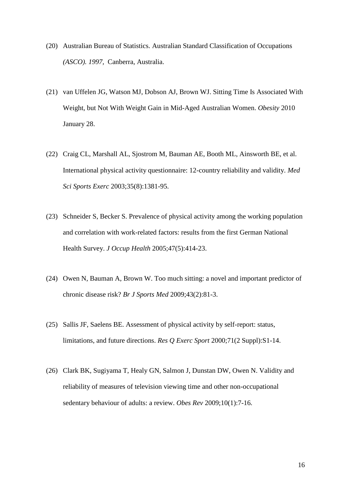- (20) Australian Bureau of Statistics. Australian Standard Classification of Occupations *(ASCO). 1997,* Canberra, Australia.
- (21) van Uffelen JG, Watson MJ, Dobson AJ, Brown WJ. Sitting Time Is Associated With Weight, but Not With Weight Gain in Mid-Aged Australian Women. *Obesity* 2010 January 28.
- (22) Craig CL, Marshall AL, Sjostrom M, Bauman AE, Booth ML, Ainsworth BE, et al. International physical activity questionnaire: 12-country reliability and validity. *Med Sci Sports Exerc* 2003;35(8):1381-95.
- (23) Schneider S, Becker S. Prevalence of physical activity among the working population and correlation with work-related factors: results from the first German National Health Survey. *J Occup Health* 2005;47(5):414-23.
- (24) Owen N, Bauman A, Brown W. Too much sitting: a novel and important predictor of chronic disease risk? *Br J Sports Med* 2009;43(2):81-3.
- (25) Sallis JF, Saelens BE. Assessment of physical activity by self-report: status, limitations, and future directions. *Res Q Exerc Sport* 2000;71(2 Suppl):S1-14.
- (26) Clark BK, Sugiyama T, Healy GN, Salmon J, Dunstan DW, Owen N. Validity and reliability of measures of television viewing time and other non-occupational sedentary behaviour of adults: a review. *Obes Rev* 2009;10(1):7-16.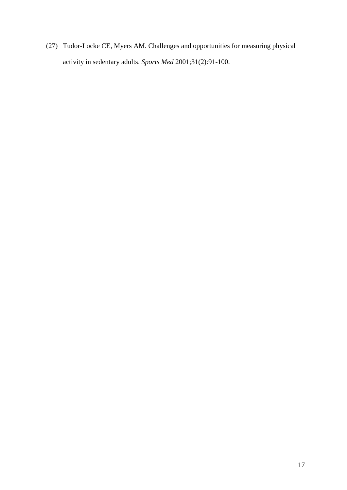(27) Tudor-Locke CE, Myers AM. Challenges and opportunities for measuring physical activity in sedentary adults. *Sports Med* 2001;31(2):91-100.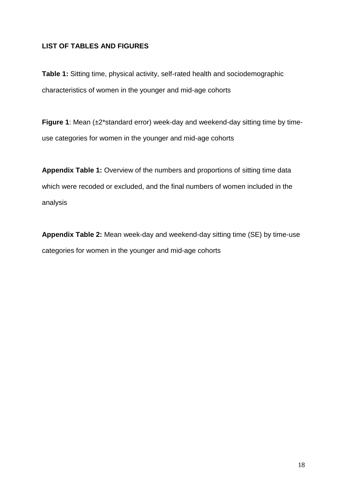# **LIST OF TABLES AND FIGURES**

**Table 1:** Sitting time, physical activity, self-rated health and sociodemographic characteristics of women in the younger and mid-age cohorts

**Figure 1**: Mean (±2\*standard error) week-day and weekend-day sitting time by timeuse categories for women in the younger and mid-age cohorts

**Appendix Table 1:** Overview of the numbers and proportions of sitting time data which were recoded or excluded, and the final numbers of women included in the analysis

**Appendix Table 2:** Mean week-day and weekend-day sitting time (SE) by time-use categories for women in the younger and mid-age cohorts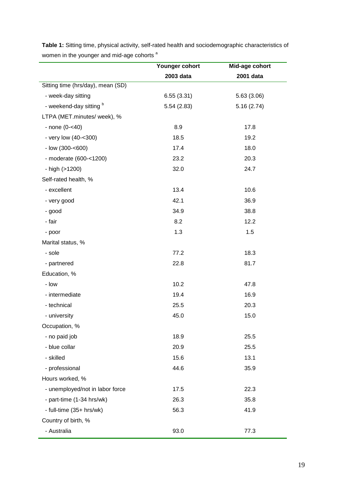|                                   | Younger cohort | Mid-age cohort |  |  |
|-----------------------------------|----------------|----------------|--|--|
|                                   | 2003 data      | 2001 data      |  |  |
| Sitting time (hrs/day), mean (SD) |                |                |  |  |
| - week-day sitting                | 6.55(3.31)     | 5.63(3.06)     |  |  |
| - weekend-day sitting b           | 5.54(2.83)     | 5.16(2.74)     |  |  |
| LTPA (MET.minutes/ week), %       |                |                |  |  |
| $-$ none (0- $<$ 40)              | 8.9            | 17.8           |  |  |
| - very low (40-<300)              | 18.5           | 19.2           |  |  |
| - low (300-<600)                  | 17.4           | 18.0           |  |  |
| - moderate (600-<1200)            | 23.2           | 20.3           |  |  |
| - high (>1200)                    | 32.0           | 24.7           |  |  |
| Self-rated health, %              |                |                |  |  |
| - excellent                       | 13.4           | 10.6           |  |  |
| - very good                       | 42.1           | 36.9           |  |  |
| - good                            | 34.9           | 38.8           |  |  |
| - fair                            | 8.2            | 12.2           |  |  |
| - poor                            | 1.3            | 1.5            |  |  |
| Marital status, %                 |                |                |  |  |
| - sole                            | 77.2           | 18.3           |  |  |
| - partnered                       | 22.8           | 81.7           |  |  |
| Education, %                      |                |                |  |  |
| - low                             | 10.2           | 47.8           |  |  |
| - intermediate                    | 19.4           | 16.9           |  |  |
| - technical                       | 25.5           | 20.3           |  |  |
| - university                      | 45.0           | 15.0           |  |  |
| Occupation, %                     |                |                |  |  |
| - no paid job                     | 18.9           | 25.5           |  |  |
| - blue collar                     | 20.9           | 25.5           |  |  |
| - skilled                         | 15.6           | 13.1           |  |  |
| - professional                    | 44.6           | 35.9           |  |  |
| Hours worked, %                   |                |                |  |  |
| - unemployed/not in labor force   | 17.5           | 22.3           |  |  |
| - part-time (1-34 hrs/wk)         | 26.3           | 35.8           |  |  |
| - full-time (35+ hrs/wk)          | 56.3           | 41.9           |  |  |
| Country of birth, %               |                |                |  |  |
| - Australia                       | 93.0           | 77.3           |  |  |

**Table 1:** Sitting time, physical activity, self-rated health and sociodemographic characteristics of women in the younger and mid-age cohorts<sup>a</sup>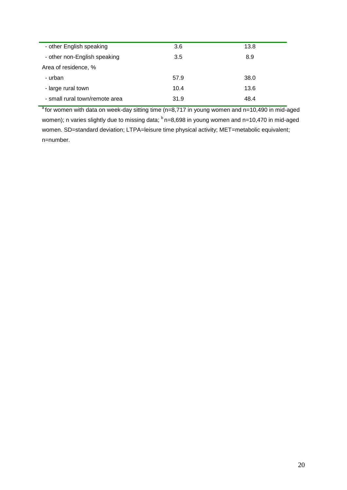| - other English speaking       | 3.6  | 13.8 |
|--------------------------------|------|------|
| - other non-English speaking   | 3.5  | 8.9  |
| Area of residence, %           |      |      |
| - urban                        | 57.9 | 38.0 |
| - large rural town             | 10.4 | 13.6 |
| - small rural town/remote area | 31.9 | 48.4 |
|                                |      |      |

 $a$  for women with data on week-day sitting time (n=8,717 in young women and n=10,490 in mid-aged women); n varies slightly due to missing data;  $<sup>b</sup>$  n=8,698 in young women and n=10,470 in mid-aged</sup> women. SD=standard deviation; LTPA=leisure time physical activity; MET=metabolic equivalent; n=number.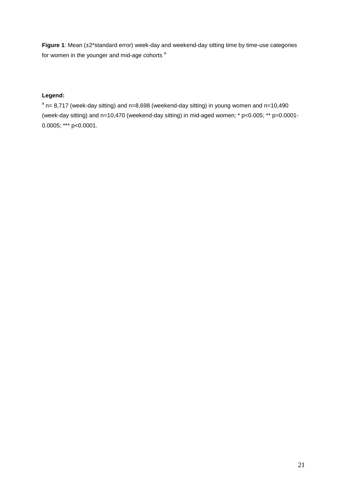**Figure 1**: Mean (±2\*standard error) week-day and weekend-day sitting time by time-use categories for women in the younger and mid-age cohorts<sup>a</sup>

# **Legend:**

 $a$  n= 8,717 (week-day sitting) and n=8,698 (weekend-day sitting) in young women and n=10,490 (week-day sitting) and n=10,470 (weekend-day sitting) in mid-aged women; \* p<0.005; \*\* p=0.0001- 0.0005; \*\*\* p<0.0001.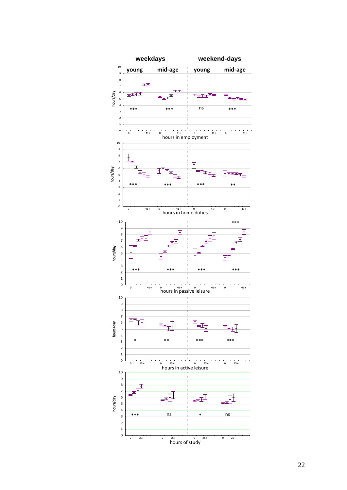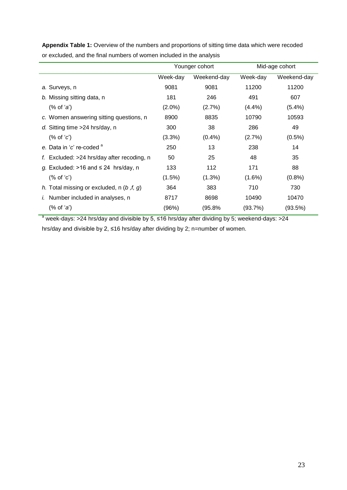|                                                                                                         | Younger cohort |             | Mid-age cohort |             |
|---------------------------------------------------------------------------------------------------------|----------------|-------------|----------------|-------------|
|                                                                                                         | Week-day       | Weekend-day | Week-day       | Weekend-day |
| a. Surveys, n                                                                                           | 9081           | 9081        | 11200          | 11200       |
| b. Missing sitting data, n                                                                              | 181            | 246         | 491            | 607         |
| $(\%$ of $'a$ <sup>*</sup>                                                                              | $(2.0\%)$      | (2.7%)      | (4.4%          | $(5.4\%)$   |
| c. Women answering sitting questions, n                                                                 | 8900           | 8835        | 10790          | 10593       |
| d. Sitting time >24 hrs/day, n                                                                          | 300            | 38          | 286            | 49          |
| $(\%$ of $c')$                                                                                          | (3.3%)         | (0.4%       | (2.7%)         | $(0.5\%)$   |
| e. Data in 'c' re-coded "                                                                               | 250            | 13          | 238            | 14          |
| f. Excluded: $>24$ hrs/day after recoding, n                                                            | 50             | 25          | 48             | 35          |
| g. Excluded: $>16$ and $\leq 24$ hrs/day, n                                                             | 133            | 112         | 171            | 88          |
| $(\%$ of $C')$                                                                                          | $(1.5\%)$      | $(1.3\%)$   | $(1.6\%)$      | (0.8%       |
| h. Total missing or excluded, n $(b, f, g)$                                                             | 364            | 383         | 710            | 730         |
| <i>i.</i> Number included in analyses, n                                                                | 8717           | 8698        | 10490          | 10470       |
| $(% \mathcal{L}_{0}^{\ast }\mathcal{L}_{1})$ of $\mathcal{L}_{0}^{\ast }$ and $\mathcal{L}_{1}^{\ast }$ | (96%)          | (95.8%      | (93.7%)        | (93.5%)     |
|                                                                                                         |                |             |                |             |

**Appendix Table 1:** Overview of the numbers and proportions of sitting time data which were recoded or excluded, and the final numbers of women included in the analysis

<sup>a</sup> week-days: >24 hrs/day and divisible by 5, ≤16 hrs/day after dividing by 5; weekend-days: >24

hrs/day and divisible by 2, ≤16 hrs/day after dividing by 2; n=number of women.